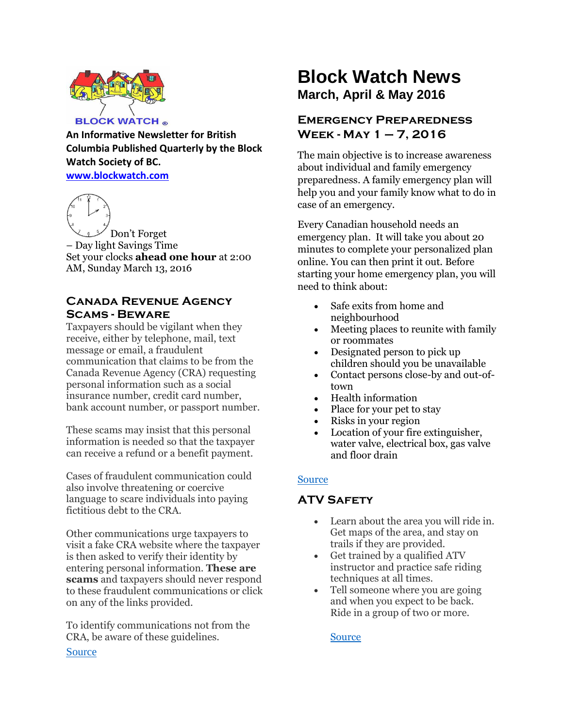

**An Informative Newsletter for British Columbia Published Quarterly by the Block Watch Society of BC. [www.blockwatch.com](http://www.blockwatch.com/)**



– Day light Savings Time Set your clocks **ahead one hour** at 2:00 AM, Sunday March 13, 2016

## **Canada Revenue Agency Scams - Beware**

Taxpayers should be vigilant when they receive, either by telephone, mail, text message or email, a fraudulent communication that claims to be from the Canada Revenue Agency (CRA) requesting personal information such as a social insurance number, credit card number, bank account number, or passport number.

These scams may insist that this personal information is needed so that the taxpayer can receive a refund or a benefit payment.

Cases of fraudulent communication could also involve threatening or coercive language to scare individuals into paying fictitious debt to the CRA.

Other communications urge taxpayers to visit a fake CRA website where the taxpayer is then asked to verify their identity by entering personal information. **These are scams** and taxpayers should never respond to these fraudulent communications or click on any of the links provided.

To identify communications not from the CRA, be aware of these guidelines.

# **Block Watch News March, April & May 2016**

# **Emergency Preparedness Week - May 1 – 7, 2016**

The main objective is to increase awareness about individual and family emergency preparedness. A family emergency plan will help you and your family know what to do in case of an emergency.

Every Canadian household needs an emergency plan. It will take you about 20 minutes to complete your personalized plan online. You can then print it out. Before starting your home emergency plan, you will need to think about:

- Safe exits from home and neighbourhood
- Meeting places to reunite with family or roommates
- Designated person to pick up children should you be unavailable
- Contact persons close-by and out-oftown
- Health information
- Place for your pet to stay
- Risks in your region
- Location of your fire extinguisher, water valve, electrical box, gas valve and floor drain

# [Source](http://www.victoria.ca/EN/main/departments/emergency-preparedness/ep-week.html)

# **ATV Safety**

- Learn about the area you will ride in. Get maps of the area, and stay on trails if they are provided.
- Get trained by a qualified ATV instructor and practice safe riding techniques at all times.
- Tell someone where you are going and when you expect to be back. Ride in a group of two or more.

**[Source](http://bc.rcmp-grc.gc.ca/ViewPage.action?siteNodeId=2082&languageId=1&contentId=27346)** 

[Source](http://www.cra-arc.gc.ca/scrty/frdprvntn/menu-eng.html)